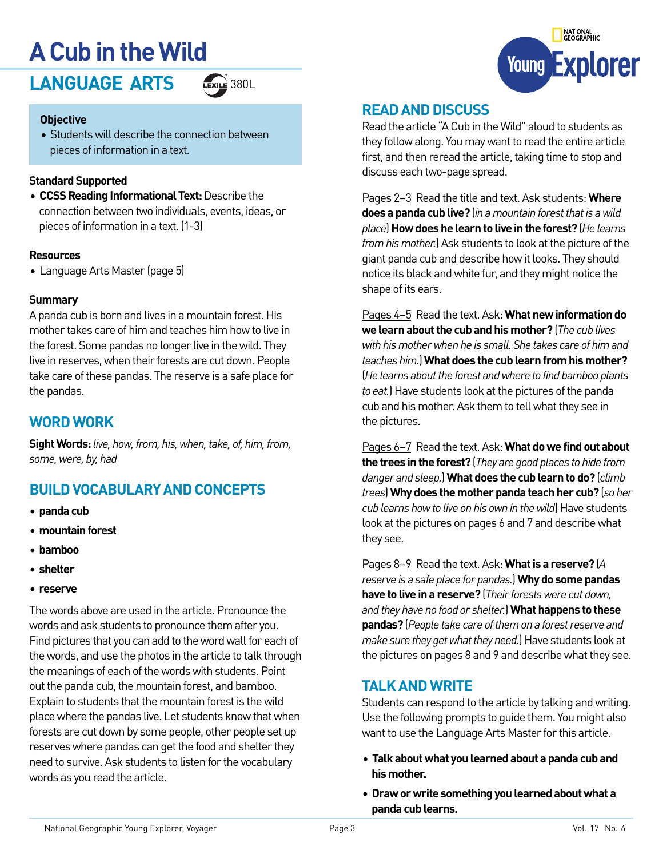## **A Cub in the Wild**

LANGUAGE ARTS **EXILE 380L** 



#### **Objective**

• Students will describe the connection between pieces of information in a text.

#### **Standard Supported**

• **CCSS Reading Informational Text:** Describe the connection between two individuals, events, ideas, or pieces of information in a text. (1-3)

#### **Resources**

• Language Arts Master (page 5)

#### **Summary**

A panda cub is born and lives in a mountain forest. His mother takes care of him and teaches him how to live in the forest. Some pandas no longer live in the wild. They live in reserves, when their forests are cut down. People take care of these pandas. The reserve is a safe place for the pandas.

#### **WORD WORK**

**Sight Words:** *live, how, from, his, when, take, of, him, from, some, were, by, had*

#### **BUILD VOCABULARY AND CONCEPTS**

- **• panda cub**
- **• mountain forest**
- **• bamboo**
- **• shelter**
- **• reserve**

The words above are used in the article. Pronounce the words and ask students to pronounce them after you. Find pictures that you can add to the word wall for each of the words, and use the photos in the article to talk through the meanings of each of the words with students. Point out the panda cub, the mountain forest, and bamboo. Explain to students that the mountain forest is the wild place where the pandas live. Let students know that when forests are cut down by some people, other people set up reserves where pandas can get the food and shelter they need to survive. Ask students to listen for the vocabulary words as you read the article.



#### **READ AND DISCUSS**

Read the article "A Cub in the Wild" aloud to students as they follow along. You may want to read the entire article first, and then reread the article, taking time to stop and discuss each two-page spread.

Pages 2–3 Read the title and text. Ask students: **Where does a panda cub live?** (*in a mountain forest that is a wild place*) **How does he learn to live in the forest?** (*He learns from his mother.*) Ask students to look at the picture of the giant panda cub and describe how it looks. They should notice its black and white fur, and they might notice the shape of its ears.

Pages 4–5 Read the text. Ask: **What new information do we learn about the cub and his mother?** (*The cub lives with his mother when he is small. She takes care of him and teaches him.*) **What does the cub learn from his mother?**  (*He learns about the forest and where to find bamboo plants to eat.*) Have students look at the pictures of the panda cub and his mother. Ask them to tell what they see in the pictures.

Pages 6–7 Read the text. Ask: **What do we find out about the trees in the forest?** (*They are good places to hide from danger and sleep.*) **What does the cub learn to do?** (*climb trees*) **Why does the mother panda teach her cub?** (*so her cub learns how to live on his own in the wild*) Have students look at the pictures on pages 6 and 7 and describe what they see.

Pages 8–9 Read the text. Ask: **What is a reserve?** (*A reserve is a safe place for pandas.*) **Why do some pandas have to live in a reserve?** (*Their forests were cut down, and they have no food or shelter.*) **What happens to these pandas?** (*People take care of them on a forest reserve and make sure they get what they need.*) Have students look at the pictures on pages 8 and 9 and describe what they see.

#### **TALK AND WRITE**

Students can respond to the article by talking and writing. Use the following prompts to guide them. You might also want to use the Language Arts Master for this article.

- **Talk about what you learned about a panda cub and his mother.**
- **• Draw or write something you learned about what a panda cub learns.**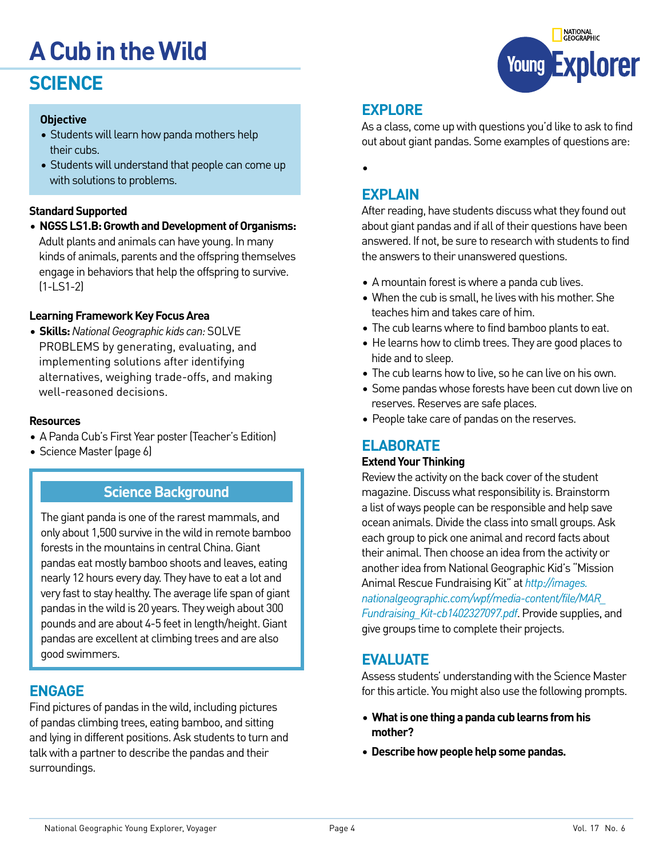# **A Cub in the Wild**

## **SCIENCE**

#### **Objective**

- Students will learn how panda mothers help their cubs.
- Students will understand that people can come up with solutions to problems.

#### **Standard Supported**

• **NGSS LS1.B: Growth and Development of Organisms:** Adult plants and animals can have young. In many kinds of animals, parents and the offspring themselves engage in behaviors that help the offspring to survive. (1-LS1-2)

#### **Learning Framework Key Focus Area**

• **Skills:** *National Geographic kids can:* SOLVE PROBLEMS by generating, evaluating, and implementing solutions after identifying alternatives, weighing trade-offs, and making well-reasoned decisions.

#### **Resources**

- A Panda Cub's First Year poster (Teacher's Edition)
- Science Master (page 6)

#### **Science Background**

The giant panda is one of the rarest mammals, and only about 1,500 survive in the wild in remote bamboo forests in the mountains in central China. Giant pandas eat mostly bamboo shoots and leaves, eating nearly 12 hours every day. They have to eat a lot and very fast to stay healthy. The average life span of giant pandas in the wild is 20 years. They weigh about 300 pounds and are about 4-5 feet in length/height. Giant pandas are excellent at climbing trees and are also good swimmers.

#### **ENGAGE**

Find pictures of pandas in the wild, including pictures of pandas climbing trees, eating bamboo, and sitting and lying in different positions. Ask students to turn and talk with a partner to describe the pandas and their surroundings.



#### **EXPLORE**

As a class, come up with questions you'd like to ask to find out about giant pandas. Some examples of questions are:

•

#### **EXPLAIN**

After reading, have students discuss what they found out about giant pandas and if all of their questions have been answered. If not, be sure to research with students to find the answers to their unanswered questions.

- A mountain forest is where a panda cub lives.
- When the cub is small, he lives with his mother. She teaches him and takes care of him.
- The cub learns where to find bamboo plants to eat.
- He learns how to climb trees. They are good places to hide and to sleep.
- The cub learns how to live, so he can live on his own.
- Some pandas whose forests have been cut down live on reserves. Reserves are safe places.
- People take care of pandas on the reserves.

#### **ELABORATE**

#### **Extend Your Thinking**

Review the activity on the back cover of the student magazine. Discuss what responsibility is. Brainstorm a list of ways people can be responsible and help save ocean animals. Divide the class into small groups. Ask each group to pick one animal and record facts about their animal. Then choose an idea from the activity or another idea from National Geographic Kid's "Mission Animal Rescue Fundraising Kit" at *[http://images.](http://images.nationalgeographic.com/wpf/media-content/file/MAR_Fundraising_Kit-cb1402327097.pdf) [nationalgeographic.com/wpf/media-content/file/MAR\\_](http://images.nationalgeographic.com/wpf/media-content/file/MAR_Fundraising_Kit-cb1402327097.pdf) [Fundraising\\_Kit-cb1402327097.pdf](http://images.nationalgeographic.com/wpf/media-content/file/MAR_Fundraising_Kit-cb1402327097.pdf)*. Provide supplies, and give groups time to complete their projects.

#### **EVALUATE**

Assess students' understanding with the Science Master for this article. You might also use the following prompts.

- **What is one thing a panda cub learns from his mother?**
- **• Describe how people help some pandas.**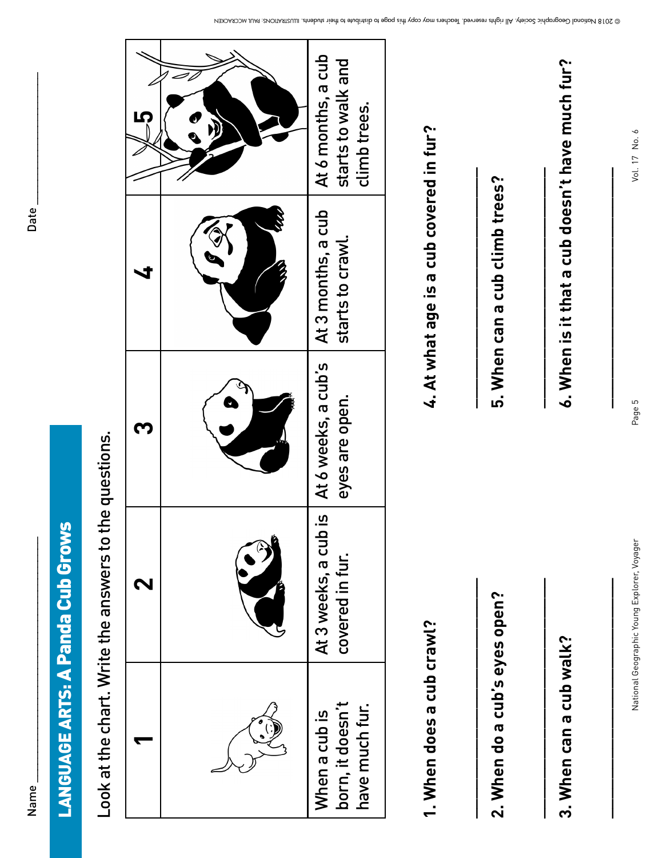| ٢      |  |
|--------|--|
|        |  |
| ŕ<br>í |  |
|        |  |
|        |  |

# A Panda Cub Grows **LANGUAGE ARTS: A Panda Cub Grows** LANGUAGE ARTS:

Look at the chart. Write the answers to the questions. Look at the chart. Write the answers to the questions.

|  | At 6 months, a cub<br>starts to walk and<br>climb trees. |
|--|----------------------------------------------------------|
|  | At 3 months, a cub<br>starts to crawl.                   |
|  | is   At 6 weeks, a cub's<br>eyes are open.               |
|  | At 3 weeks, a cub<br>covered in fur.                     |
|  | born, it doesn't<br>have much fur.<br>When a cub is      |

1. When does a cub crawl?<br>2. When do a cub's eyes open?<br>2. When do a cub's eyes open?<br>3. When can a cub walk?<br>3. When can a cub walk?

Vol. 17 No. 6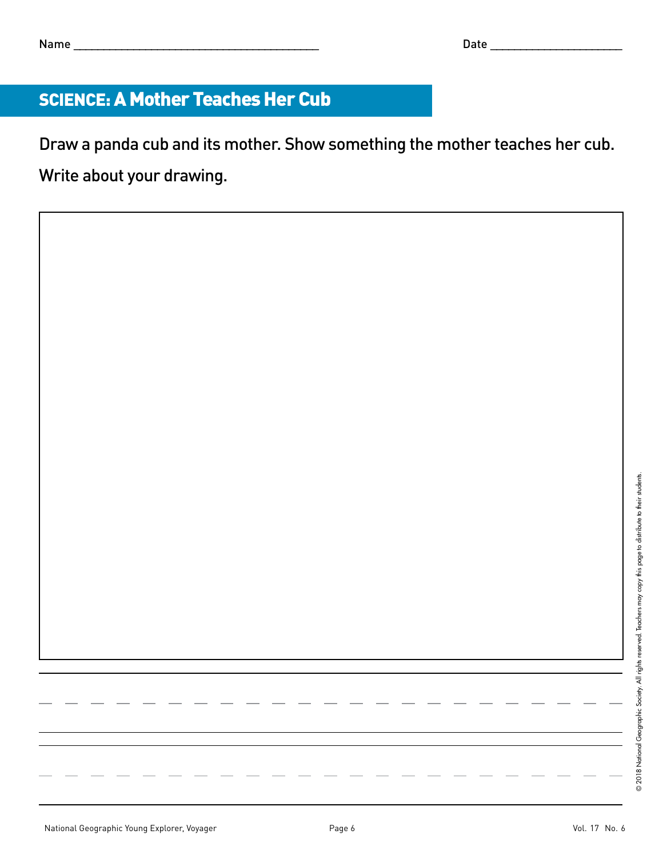### SCIENCE: A Mother Teaches Her Cub

Draw a panda cub and its mother. Show something the mother teaches her cub. Write about your drawing.